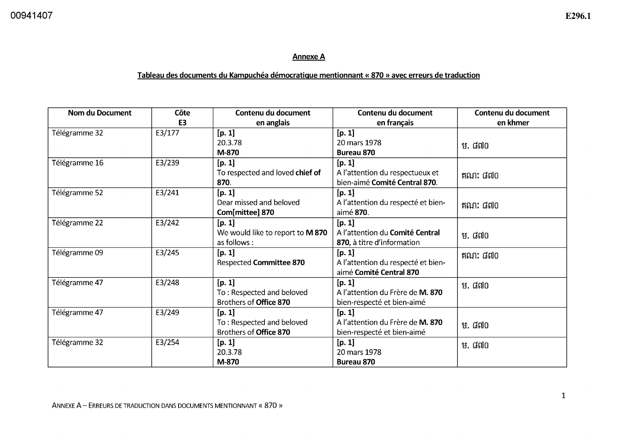## **Annexe A**

## Tableau des documents du Kampuchéa démocratique mentionnant « 870 » avec erreurs de traduction

| Nom du Document | Côte           | Contenu du document                                           | Contenu du document                                                        | Contenu du document |
|-----------------|----------------|---------------------------------------------------------------|----------------------------------------------------------------------------|---------------------|
|                 | E <sub>3</sub> | en anglais                                                    | en français                                                                | en khmer            |
| Télégramme 32   | E3/177         | [p. 1]<br>20.3.78<br>M-870                                    | [p. 1]<br>20 mars 1978<br><b>Bureau 870</b>                                | ម. ៨៧០              |
| Télégramme 16   | E3/239         | [p. 1]<br>To respected and loved chief of<br>870.             | [p. 1]<br>A l'attention du respectueux et<br>bien-aimé Comité Central 870. | គណ: ៨៧០             |
| Télégramme 52   | E3/241         | [p. 1]<br>Dear missed and beloved<br>Com[mittee] 870          | [p. 1]<br>A l'attention du respecté et bien-<br>aimé 870.                  | គណ: ៨៧០             |
| Télégramme 22   | E3/242         | [p. 1]<br>We would like to report to M 870<br>as follows:     | [p. 1]<br>A l'attention du Comité Central<br>870, à titre d'information    | ម. ៨៧០              |
| Télégramme 09   | E3/245         | [p. 1]<br><b>Respected Committee 870</b>                      | [p. 1]<br>A l'attention du respecté et bien-<br>aimé Comité Central 870    | គណ: ៨៧០             |
| Télégramme 47   | E3/248         | [p. 1]<br>To: Respected and beloved<br>Brothers of Office 870 | [p. 1]<br>A l'attention du Frère de M. 870<br>bien-respecté et bien-aimé   | ម. ៨៧០              |
| Télégramme 47   | E3/249         | [p. 1]<br>To: Respected and beloved<br>Brothers of Office 870 | [p. 1]<br>A l'attention du Frère de M. 870<br>bien-respecté et bien-aimé   | ម. ៨៧០              |
| Télégramme 32   | E3/254         | [p. 1]<br>20.3.78<br>M-870                                    | [p. 1]<br>20 mars 1978<br><b>Bureau 870</b>                                | ម. ៨៧០              |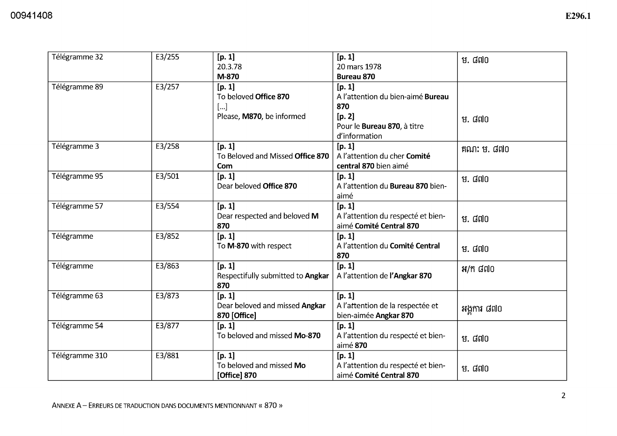| Télégramme 32  | E3/255 | [p. 1]<br>20.3.78<br>M-870                                         | [p. 1]<br>20 mars 1978<br><b>Bureau 870</b>                                                                  | ម. ៨៧០            |
|----------------|--------|--------------------------------------------------------------------|--------------------------------------------------------------------------------------------------------------|-------------------|
| Télégramme 89  | E3/257 | [p. 1]<br>To beloved Office 870<br>[]<br>Please, M870, be informed | [p. 1]<br>A l'attention du bien-aimé Bureau<br>870<br>[p. 2]<br>Pour le Bureau 870, à titre<br>d'information | ម. ៨៧០            |
| Télégramme 3   | E3/258 | [p. 1]<br>To Beloved and Missed Office 870<br>Com                  | [p. 1]<br>A l'attention du cher Comité<br>central 870 bien aimé                                              | គណ: ម. ៨៧០        |
| Télégramme 95  | E3/501 | [p. 1]<br>Dear beloved Office 870                                  | [p. 1]<br>A l'attention du Bureau 870 bien-<br>aimé                                                          | ម. ៨៧០            |
| Télégramme 57  | E3/554 | [p. 1]<br>Dear respected and beloved M<br>870                      | [p. 1]<br>A l'attention du respecté et bien-<br>aimé Comité Central 870                                      | ម. ៨៧០            |
| Télégramme     | E3/852 | [p. 1]<br>To M-870 with respect                                    | [p. 1]<br>A l'attention du Comité Central<br>870                                                             | ម. ៨៧០            |
| Télégramme     | E3/863 | [p. 1]<br>Respectifully submitted to Angkar<br>870                 | [p. 1]<br>A l'attention de l'Angkar 870                                                                      | $H/\tilde{n}$ ៨៧០ |
| Télégramme 63  | E3/873 | [p. 1]<br>Dear beloved and missed Angkar<br>870 [Office]           | [p. 1]<br>A l'attention de la respectée et<br>bien-aimée Angkar 870                                          | អង្គការ ៨៧០       |
| Télégramme 54  | E3/877 | [p. 1]<br>To beloved and missed Mo-870                             | [p. 1]<br>A l'attention du respecté et bien-<br>aimé 870                                                     | ម. ៨៧០            |
| Télégramme 310 | E3/881 | [p. 1]<br>To beloved and missed Mo<br>[Office] 870                 | [p. 1]<br>A l'attention du respecté et bien-<br>aimé Comité Central 870                                      | ម. ៨៧០            |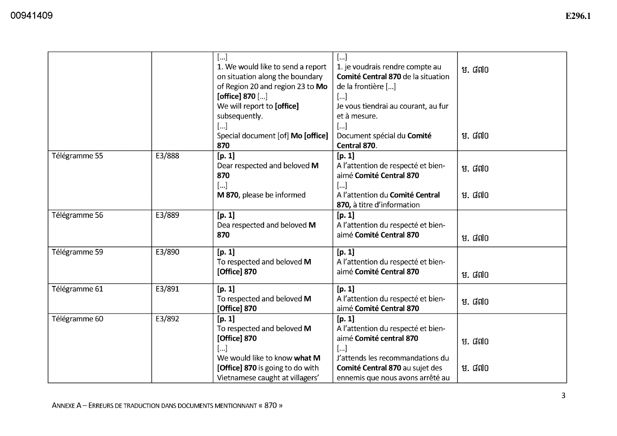|               |        | $[]$<br>1. We would like to send a report | $[]$<br>1. je voudrais rendre compte au | ម. ៨៧០ |
|---------------|--------|-------------------------------------------|-----------------------------------------|--------|
|               |        | on situation along the boundary           | Comité Central 870 de la situation      |        |
|               |        | of Region 20 and region 23 to Mo          | de la frontière []                      |        |
|               |        | [office] 870 []                           | []                                      |        |
|               |        | We will report to [office]                | Je vous tiendrai au courant, au fur     |        |
|               |        | subsequently.                             | et à mesure.                            |        |
|               |        | […]                                       | $[]$                                    |        |
|               |        | Special document [of] Mo [office]         | Document spécial du Comité              | ម. ៨៧០ |
|               |        | 870                                       | Central 870.                            |        |
| Télégramme 55 | E3/888 | [p. 1]                                    | [p. 1]                                  |        |
|               |        | Dear respected and beloved M              | A l'attention de respecté et bien-      | ម. ៨៧០ |
|               |        | 870                                       | aimé Comité Central 870                 |        |
|               |        | […]                                       | $[]$                                    |        |
|               |        | M 870, please be informed                 | A l'attention du Comité Central         | ម. ៨៧០ |
|               |        |                                           | 870, à titre d'information              |        |
| Télégramme 56 | E3/889 | [p. 1]                                    | [p. 1]                                  |        |
|               |        | Dea respected and beloved M               | A l'attention du respecté et bien-      |        |
|               |        | 870                                       | aimé Comité Central 870                 | ម. ៨៧០ |
| Télégramme 59 | E3/890 | [p. 1]                                    | [p. 1]                                  |        |
|               |        | To respected and beloved M                | A l'attention du respecté et bien-      |        |
|               |        | [Office] 870                              | aimé Comité Central 870                 | ម. ៨៧០ |
| Télégramme 61 | E3/891 | [p. 1]                                    | [p. 1]                                  |        |
|               |        | To respected and beloved M                | A l'attention du respecté et bien-      | ម. ៨៧០ |
|               |        | [Office] 870                              | aimé Comité Central 870                 |        |
| Télégramme 60 | E3/892 | [p. 1]                                    | [p. 1]                                  |        |
|               |        | To respected and beloved M                | A l'attention du respecté et bien-      |        |
|               |        | [Office] 870                              | aimé Comité central 870                 | ម. ៨៧០ |
|               |        |                                           | $[]$                                    |        |
|               |        | We would like to know what M              | J'attends les recommandations du        |        |
|               |        | [Office] 870 is going to do with          | Comité Central 870 au sujet des         | ម. ៨៧០ |
|               |        | Vietnamese caught at villagers'           | ennemis que nous avons arrêté au        |        |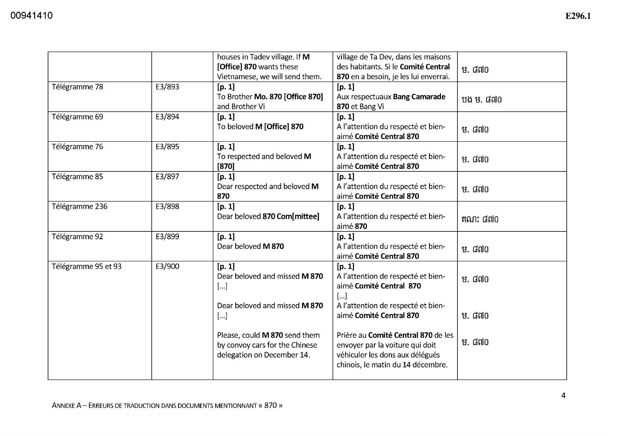|                     |        | houses in Tadev village. If M   | village de Ta Dev, dans les maisons   |           |
|---------------------|--------|---------------------------------|---------------------------------------|-----------|
|                     |        | [Office] 870 wants these        | des habitants. Si le Comité Central   | ម. ៨៧០    |
|                     |        | Vietnamese, we will send them.  | 870 en a besoin, je les lui enverrai. |           |
| Télégramme 78       | E3/893 | [p. 1]                          | [p. 1]                                |           |
|                     |        | To Brother Mo. 870 [Office 870] | Aux respectuaux Bang Camarade         | បង ម. ៨៧០ |
|                     |        | and Brother Vi                  | 870 et Bang Vi                        |           |
| Télégramme 69       | E3/894 | [p. 1]                          | [p. 1]                                |           |
|                     |        | To beloved M [Office] 870       | A l'attention du respecté et bien-    | ម. ៨៧០    |
|                     |        |                                 | aimé Comité Central 870               |           |
| Télégramme 76       | E3/895 | [p. 1]                          | [p. 1]                                |           |
|                     |        | To respected and beloved M      | A l'attention du respecté et bien-    | ម. ៨៧០    |
|                     |        | $[870]$                         | aimé Comité Central 870               |           |
| Télégramme 85       | E3/897 | [p. 1]                          | [p. 1]                                |           |
|                     |        | Dear respected and beloved M    | A l'attention du respecté et bien-    | ម. ៨៧០    |
|                     |        | 870                             | aimé Comité Central 870               |           |
| Télégramme 236      | E3/898 | [p. 1]                          | [p. 1]                                |           |
|                     |        | Dear beloved 870 Com[mittee]    | A l'attention du respecté et bien-    | គណ: ៨៧០   |
|                     |        |                                 | aimé 870                              |           |
| Télégramme 92       | E3/899 | [p. 1]                          | [p. 1]                                |           |
|                     |        | Dear beloved M 870              | A l'attention du respecté et bien-    | ម. ៨៧០    |
|                     |        |                                 | aimé Comité Central 870               |           |
| Télégramme 95 et 93 | E3/900 | [p. 1]                          | [p. 1]                                |           |
|                     |        | Dear beloved and missed M 870   | A l'attention de respecté et bien-    | ម. ៨៧០    |
|                     |        | $[]$                            | aimé Comité Central 870               |           |
|                     |        |                                 | $[]$                                  |           |
|                     |        | Dear beloved and missed M 870   | A l'attention de respecté et bien-    |           |
|                     |        | $[]$                            | aimé Comité Central 870               | ម. ៨៧០    |
|                     |        |                                 |                                       |           |
|                     |        | Please, could M 870 send them   | Prière au Comité Central 870 de les   | ម. ៨៧០    |
|                     |        | by convoy cars for the Chinese  | envoyer par la voiture qui doit       |           |
|                     |        | delegation on December 14.      | véhiculer les dons aux délégués       |           |
|                     |        |                                 | chinois, le matin du 14 décembre.     |           |
|                     |        |                                 |                                       |           |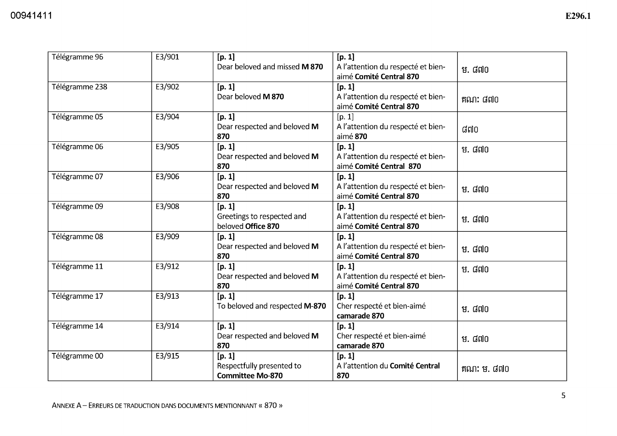| Télégramme 96  | E3/901 | [p. 1]<br>Dear beloved and missed M 870          | [p. 1]<br>A l'attention du respecté et bien-                  |                    |
|----------------|--------|--------------------------------------------------|---------------------------------------------------------------|--------------------|
|                |        |                                                  | aimé Comité Central 870                                       | ម. ៨៧០             |
| Télégramme 238 | E3/902 | [p. 1]                                           | [p. 1]                                                        |                    |
|                |        | Dear beloved M 870                               | A l'attention du respecté et bien-<br>aimé Comité Central 870 | គណ: ៨៧០            |
| Télégramme 05  | E3/904 | [p. 1]                                           | [p. 1]                                                        |                    |
|                |        | Dear respected and beloved M<br>870              | A l'attention du respecté et bien-<br>aimé 870                | ៨៧០                |
| Télégramme 06  | E3/905 | [p. 1]                                           | [p. 1]                                                        | ម. ៨៧០             |
|                |        | Dear respected and beloved M                     | A l'attention du respecté et bien-                            |                    |
| Télégramme 07  | E3/906 | 870<br>[p. 1]                                    | aimé Comité Central 870<br>[p. 1]                             |                    |
|                |        | Dear respected and beloved M                     | A l'attention du respecté et bien-                            | ម. ៨៧០             |
|                |        | 870                                              | aimé Comité Central 870                                       |                    |
| Télégramme 09  | E3/908 | [p. 1]                                           | [p. 1]                                                        |                    |
|                |        | Greetings to respected and<br>beloved Office 870 | A l'attention du respecté et bien-<br>aimé Comité Central 870 | ម. ៨៧០             |
| Télégramme 08  | E3/909 | [p. 1]                                           | [p. 1]                                                        |                    |
|                |        | Dear respected and beloved M                     | A l'attention du respecté et bien-                            | ម. ៨៧០             |
|                |        | 870                                              | aimé Comité Central 870                                       |                    |
| Télégramme 11  | E3/912 | [p. 1]                                           | [p. 1]                                                        | ម. ៨៧០             |
|                |        | Dear respected and beloved M<br>870              | A l'attention du respecté et bien-<br>aimé Comité Central 870 |                    |
| Télégramme 17  | E3/913 | [p. 1]                                           | [p. 1]                                                        |                    |
|                |        | To beloved and respected M-870                   | Cher respecté et bien-aimé                                    | ម. ៨៧០             |
|                |        |                                                  | camarade 870                                                  |                    |
| Télégramme 14  | E3/914 | [p. 1]                                           | [p. 1]                                                        |                    |
|                |        | Dear respected and beloved M                     | Cher respecté et bien-aimé                                    | ម. ៨៧០             |
| Télégramme 00  | E3/915 | 870<br>[p. 1]                                    | camarade 870<br>[p. 1]                                        |                    |
|                |        | Respectfully presented to                        | A l'attention du Comité Central                               | គណ <b>:</b> ម. ៨៧០ |
|                |        | <b>Committee Mo-870</b>                          | 870                                                           |                    |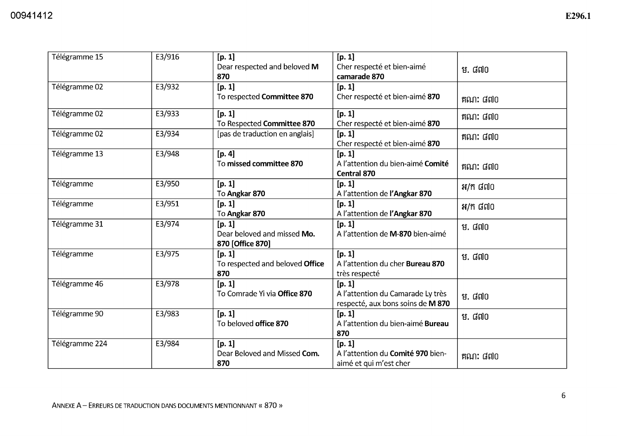| Télégramme 15  | E3/916 | [p. 1]<br>Dear respected and beloved M<br>870             | [p. 1]<br>Cher respecté et bien-aimé<br>camarade 870                             | ម. ៨៧០  |
|----------------|--------|-----------------------------------------------------------|----------------------------------------------------------------------------------|---------|
| Télégramme 02  | E3/932 | [p. 1]<br>To respected Committee 870                      | [p. 1]<br>Cher respecté et bien-aimé 870                                         | គណៈ ៨៧០ |
| Télégramme 02  | E3/933 | [p. 1]<br>To Respected Committee 870                      | [p. 1]<br>Cher respecté et bien-aimé 870                                         | គណ: ៨៧០ |
| Télégramme 02  | E3/934 | [pas de traduction en anglais]                            | [p. 1]<br>Cher respecté et bien-aimé 870                                         | គណ: ៨៧០ |
| Télégramme 13  | E3/948 | [p. 4]<br>To missed committee 870                         | [p. 1]<br>A l'attention du bien-aimé Comité<br><b>Central 870</b>                | គណ: ៨៧០ |
| Télégramme     | E3/950 | [p. 1]<br>To Angkar 870                                   | [p. 1]<br>A l'attention de l'Angkar 870                                          | អ/ក ៨៧០ |
| Télégramme     | E3/951 | [p. 1]<br>To Angkar 870                                   | [p. 1]<br>A l'attention de l'Angkar 870                                          | អ/ក ៨៧០ |
| Télégramme 31  | E3/974 | [p. 1]<br>Dear beloved and missed Mo.<br>870 [Office 870] | [p. 1]<br>A l'attention de M-870 bien-aimé                                       | ម. ៨៧០  |
| Télégramme     | E3/975 | [p. 1]<br>To respected and beloved Office<br>870          | [p. 1]<br>A l'attention du cher Bureau 870<br>très respecté                      | ម. ៨៧០  |
| Télégramme 46  | E3/978 | [p. 1]<br>To Comrade Yi via Office 870                    | [p. 1]<br>A l'attention du Camarade Ly très<br>respecté, aux bons soins de M 870 | ម. ៨៧០  |
| Télégramme 90  | E3/983 | [p. 1]<br>To beloved office 870                           | [p. 1]<br>A l'attention du bien-aimé Bureau<br>870                               | ម. ៨៧០  |
| Télégramme 224 | E3/984 | [p. 1]<br>Dear Beloved and Missed Com.<br>870             | [p. 1]<br>A l'attention du Comité 970 bien-<br>aimé et qui m'est cher            | គណ: ៨៧០ |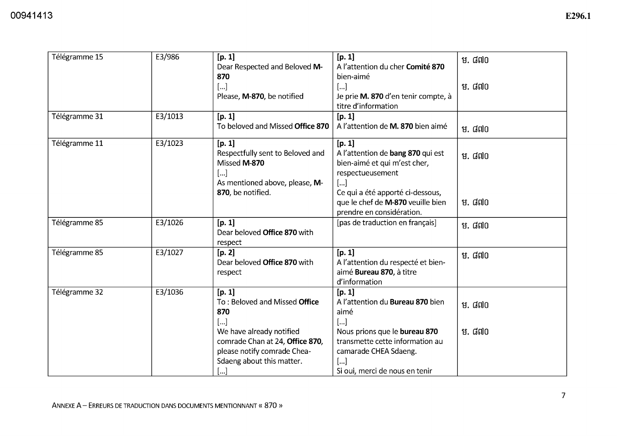| Télégramme 15 | E3/986  | [p. 1]                           | [p. 1]                              | ម. ៨៧០ |
|---------------|---------|----------------------------------|-------------------------------------|--------|
|               |         | Dear Respected and Beloved M-    | A l'attention du cher Comité 870    |        |
|               |         | 870                              | bien-aimé                           |        |
|               |         | […]                              | $[]$                                | ម. ៨៧០ |
|               |         | Please, M-870, be notified       | Je prie M. 870 d'en tenir compte, à |        |
|               |         |                                  | titre d'information                 |        |
| Télégramme 31 | E3/1013 | [p. 1]                           | [p. 1]                              |        |
|               |         | To beloved and Missed Office 870 | A l'attention de M. 870 bien aimé   | ម. ៨៧០ |
| Télégramme 11 | E3/1023 | [p. 1]                           | [p. 1]                              |        |
|               |         | Respectfully sent to Beloved and | A l'attention de bang 870 qui est   | ម. ៨៧០ |
|               |         | Missed M-870                     | bien-aimé et qui m'est cher,        |        |
|               |         | $\left[\ldots\right]$            | respectueusement                    |        |
|               |         | As mentioned above, please, M-   | $[]$                                |        |
|               |         | 870, be notified.                | Ce qui a été apporté ci-dessous,    |        |
|               |         |                                  | que le chef de M-870 veuille bien   | ម. ៨៧០ |
|               |         |                                  | prendre en considération.           |        |
| Télégramme 85 | E3/1026 | [p. 1]                           | [pas de traduction en français]     | ម. ៨៧០ |
|               |         | Dear beloved Office 870 with     |                                     |        |
|               |         | respect                          |                                     |        |
| Télégramme 85 | E3/1027 | [p. 2]                           | [p. 1]                              | ម. ៨៧០ |
|               |         | Dear beloved Office 870 with     | A l'attention du respecté et bien-  |        |
|               |         | respect                          | aimé Bureau 870, à titre            |        |
|               |         |                                  | d'information                       |        |
| Télégramme 32 | E3/1036 | [p. 1]                           | [p. 1]                              |        |
|               |         | To: Beloved and Missed Office    | A l'attention du Bureau 870 bien    | ម. ៨៧០ |
|               |         | 870                              | aimé                                |        |
|               |         | […]                              | $[]$                                |        |
|               |         | We have already notified         | Nous prions que le bureau 870       | ម. ៨៧០ |
|               |         | comrade Chan at 24, Office 870,  | transmette cette information au     |        |
|               |         | please notify comrade Chea-      | camarade CHEA Sdaeng.               |        |
|               |         | Sdaeng about this matter.        | []                                  |        |
|               |         | []                               | Si oui, merci de nous en tenir      |        |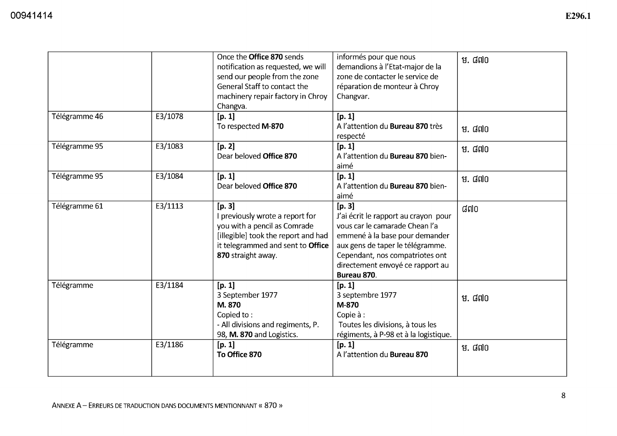|               |         | Once the <b>Office 870</b> sends<br>notification as requested, we will<br>send our people from the zone<br>General Staff to contact the<br>machinery repair factory in Chroy<br>Changva. | informés pour que nous<br>demandions à l'Etat-major de la<br>zone de contacter le service de<br>réparation de monteur à Chroy<br>Changvar.                                                                                                   | ម. ៨៧០ |
|---------------|---------|------------------------------------------------------------------------------------------------------------------------------------------------------------------------------------------|----------------------------------------------------------------------------------------------------------------------------------------------------------------------------------------------------------------------------------------------|--------|
| Télégramme 46 | E3/1078 | [p. 1]<br>To respected M-870                                                                                                                                                             | [p. 1]<br>A l'attention du Bureau 870 très<br>respecté                                                                                                                                                                                       | ម. ៨៧០ |
| Télégramme 95 | E3/1083 | [p. 2]<br>Dear beloved Office 870                                                                                                                                                        | [p. 1]<br>A l'attention du Bureau 870 bien-<br>aimé                                                                                                                                                                                          | ម. ៨៧០ |
| Télégramme 95 | E3/1084 | [p. 1]<br>Dear beloved Office 870                                                                                                                                                        | [p. 1]<br>A l'attention du Bureau 870 bien-<br>aimé                                                                                                                                                                                          | ម. ៨៧០ |
| Télégramme 61 | E3/1113 | [p. 3]<br>previously wrote a report for<br>you with a pencil as Comrade<br>[illegible] took the report and had<br>it telegrammed and sent to Office<br>870 straight away.                | [p. 3]<br>J'ai écrit le rapport au crayon pour<br>vous car le camarade Chean l'a<br>emmené à la base pour demander<br>aux gens de taper le télégramme.<br>Cependant, nos compatriotes ont<br>directement envoyé ce rapport au<br>Bureau 870. | ៨៧០    |
| Télégramme    | E3/1184 | [p. 1]<br>3 September 1977<br>M.870<br>Copied to:<br>- All divisions and regiments, P.<br>98, M. 870 and Logistics.                                                                      | [p. 1]<br>3 septembre 1977<br>M-870<br>Copie à :<br>Toutes les divisions, à tous les<br>régiments, à P-98 et à la logistique.                                                                                                                | ម. ៨៧០ |
| Télégramme    | E3/1186 | [p. 1]<br>To Office 870                                                                                                                                                                  | [p. 1]<br>A l'attention du Bureau 870                                                                                                                                                                                                        | ម. ៨៧០ |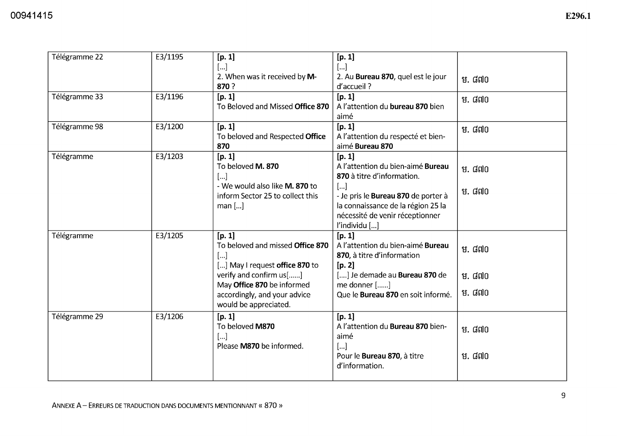| Télégramme 22 | E3/1195 | [p. 1]<br>[]                                                                                          | [p. 1]<br>$[]$                                                                                                       |        |
|---------------|---------|-------------------------------------------------------------------------------------------------------|----------------------------------------------------------------------------------------------------------------------|--------|
|               |         | 2. When was it received by M-<br>870 ?                                                                | 2. Au Bureau 870, quel est le jour<br>d'accueil ?                                                                    | ម. ៨៧០ |
| Télégramme 33 | E3/1196 | [p. 1]<br>To Beloved and Missed Office 870                                                            | [p. 1]<br>A l'attention du <b>bureau 870</b> bien<br>aimé                                                            | ម. ៨៧០ |
| Télégramme 98 | E3/1200 | [p. 1]<br>To beloved and Respected Office<br>870                                                      | [p. 1]<br>A l'attention du respecté et bien-<br>aimé Bureau 870                                                      | ម. ៨៧០ |
| Télégramme    | E3/1203 | [p. 1]<br>To beloved M. 870<br>$[]$                                                                   | [p. 1]<br>A l'attention du bien-aimé Bureau<br>870 à titre d'information.                                            | ម. ៨៧០ |
|               |         | - We would also like M. 870 to<br>inform Sector 25 to collect this<br>$man$ []                        | $[]$<br>- Je pris le Bureau 870 de porter à<br>la connaissance de la région 25 la<br>nécessité de venir réceptionner | ម. ៨៧០ |
|               |         |                                                                                                       | l'individu []                                                                                                        |        |
| Télégramme    | E3/1205 | [p. 1]<br>To beloved and missed Office 870<br>$\left[\ldots\right]$<br>[] May I request office 870 to | [p. 1]<br>A l'attention du bien-aimé Bureau<br>870, à titre d'information<br>[p. 2]                                  | ម. ៨៧០ |
|               |         | verify and confirm us[]<br>May Office 870 be informed                                                 | [] Je demade au Bureau 870 de<br>me donner []                                                                        | ម. ៨៧០ |
|               |         | accordingly, and your advice<br>would be appreciated.                                                 | Que le <b>Bureau 870</b> en soit informé.                                                                            | ម. ៨៧០ |
| Télégramme 29 | E3/1206 | [p. 1]<br>To beloved M870<br>$\left[\ldots\right]$<br>Please M870 be informed.                        | [p. 1]<br>A l'attention du Bureau 870 bien-<br>aimé<br>[]                                                            | ម. ៨៧០ |
|               |         |                                                                                                       | Pour le Bureau 870, à titre<br>d'information.                                                                        | ម. ៨៧០ |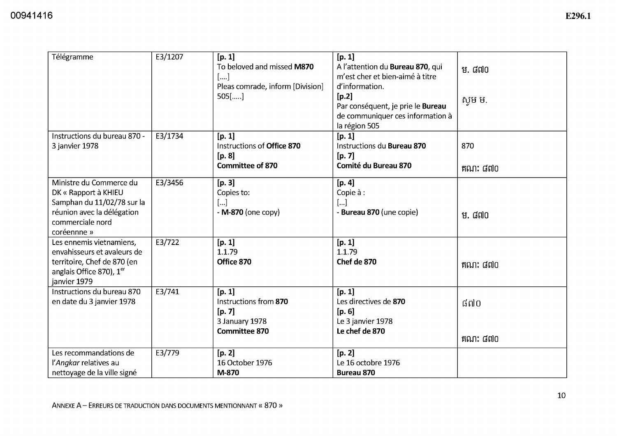| Télégramme                                                                                                                                     | E3/1207 | [p. 1]<br>To beloved and missed M870<br>[]<br>Pleas comrade, inform [Division]<br>$505$ [] | [p. 1]<br>A l'attention du Bureau 870, qui<br>m'est cher et bien-aimé à titre<br>d'information.<br>[p.2]<br>Par conséquent, je prie le Bureau<br>de communiquer ces information à<br>la région 505 | ម. ៨៧០<br>សូម ម. |
|------------------------------------------------------------------------------------------------------------------------------------------------|---------|--------------------------------------------------------------------------------------------|----------------------------------------------------------------------------------------------------------------------------------------------------------------------------------------------------|------------------|
| Instructions du bureau 870 -<br>3 janvier 1978                                                                                                 | E3/1734 | [p. 1]<br>Instructions of Office 870<br>[p. 8]<br><b>Committee of 870</b>                  | [p. 1]<br>Instructions du Bureau 870<br>[p. 7]<br>Comité du Bureau 870                                                                                                                             | 870<br>គណ: ៨៧០   |
| Ministre du Commerce du<br>DK « Rapport à KHIEU<br>Samphan du 11/02/78 sur la<br>réunion avec la délégation<br>commerciale nord<br>coréennne » | E3/3456 | [p. 3]<br>Copies to:<br>$[]$<br>$-M-870$ (one copy)                                        | [p. 4]<br>Copie à :<br>$[]$<br>- Bureau 870 (une copie)                                                                                                                                            | ម. ៨៧០           |
| Les ennemis vietnamiens,<br>envahisseurs et avaleurs de<br>territoire, Chef de 870 (en<br>anglais Office 870), 1 <sup>er</sup><br>janvier 1979 | E3/722  | [p. 1]<br>1.1.79<br>Office 870                                                             | [p. 1]<br>1.1.79<br>Chef de 870                                                                                                                                                                    | គណ: ៨៧០          |
| Instructions du bureau 870<br>en date du 3 janvier 1978                                                                                        | E3/741  | [p. 1]<br>Instructions from 870<br>[p. 7]<br>3 January 1978<br><b>Committee 870</b>        | [p. 1]<br>Les directives de 870<br>[p. 6]<br>Le 3 janvier 1978<br>Le chef de 870                                                                                                                   | ៨៧០<br>គណ: ៨៧០   |
| Les recommandations de<br>l'Angkar relatives au<br>nettoyage de la ville signé                                                                 | E3/779  | [p. 2]<br>16 October 1976<br>M-870                                                         | [p. 2]<br>Le 16 octobre 1976<br><b>Bureau 870</b>                                                                                                                                                  |                  |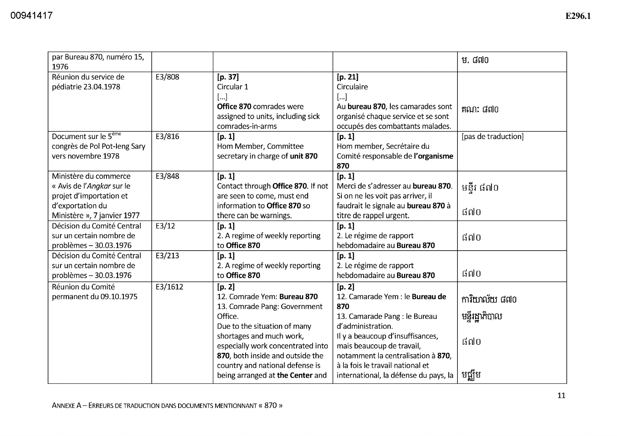| par Bureau 870, numéro 15,<br>1976                                                                |         |                                                                                                                    |                                                                                                                                              | ម. ៨៧០              |
|---------------------------------------------------------------------------------------------------|---------|--------------------------------------------------------------------------------------------------------------------|----------------------------------------------------------------------------------------------------------------------------------------------|---------------------|
| Réunion du service de<br>pédiatrie 23.04.1978                                                     | E3/808  | [p. 37]<br>Circular 1<br>$[]$<br>Office 870 comrades were<br>assigned to units, including sick<br>comrades-in-arms | [p. 21]<br>Circulaire<br>$[]$<br>Au bureau 870, les camarades sont<br>organisé chaque service et se sont<br>occupés des combattants malades. | គណ: ៨៧០             |
| Document sur le 5 <sup>ème</sup><br>congrès de Pol Pot-leng Sary<br>vers novembre 1978            | E3/816  | [p. 1]<br>Hom Member, Committee<br>secretary in charge of unit 870                                                 | [p. 1]<br>Hom member, Secrétaire du<br>Comité responsable de l'organisme<br>870                                                              | [pas de traduction] |
| Ministère du commerce<br>« Avis de l'Angkar sur le<br>projet d'importation et<br>d'exportation du | E3/848  | [p. 1]<br>Contact through Office 870. If not<br>are seen to come, must end<br>information to Office 870 so         | [p. 1]<br>Merci de s'adresser au bureau 870.<br>Si on ne les voit pas arriver, il<br>faudrait le signale au bureau 870 à                     | មន្ទីរ ៨៧០          |
| Ministère », 7 janvier 1977                                                                       |         | there can be warnings.                                                                                             | titre de rappel urgent.                                                                                                                      | ៨៧០                 |
| Décision du Comité Central<br>sur un certain nombre de<br>problèmes - 30.03.1976                  | E3/12   | [p. 1]<br>2. A regime of weekly reporting<br>to Office 870                                                         | [p. 1]<br>2. Le régime de rapport<br>hebdomadaire au Bureau 870                                                                              | ៨៧០                 |
| Décision du Comité Central<br>sur un certain nombre de<br>problèmes - 30.03.1976                  | E3/213  | [p. 1]<br>2. A regime of weekly reporting<br>to Office 870                                                         | [p. 1]<br>2. Le régime de rapport<br>hebdomadaire au Bureau 870                                                                              | ៨៧០                 |
| Réunion du Comité<br>permanent du 09.10.1975                                                      | E3/1612 | [p. 2]<br>12. Comrade Yem: Bureau 870<br>13. Comrade Pang: Government                                              | [p. 2]<br>12. Camarade Yem : le Bureau de<br>870                                                                                             | ការិយាល័យ ៨៧០       |
|                                                                                                   |         | Office.<br>Due to the situation of many<br>shortages and much work,                                                | 13. Camarade Pang : le Bureau<br>d'administration.<br>Il y a beaucoup d'insuffisances,                                                       | មន្ទីរដ្ឋាភិបាល     |
|                                                                                                   |         | especially work concentrated into<br>870, both inside and outside the<br>country and national defense is           | mais beaucoup de travail,<br>notamment la centralisation à 870.<br>à la fois le travail national et                                          | ៨៧០                 |
|                                                                                                   |         | being arranged at the Center and                                                                                   | international, la défense du pays, la                                                                                                        | មជ្ឈឹម              |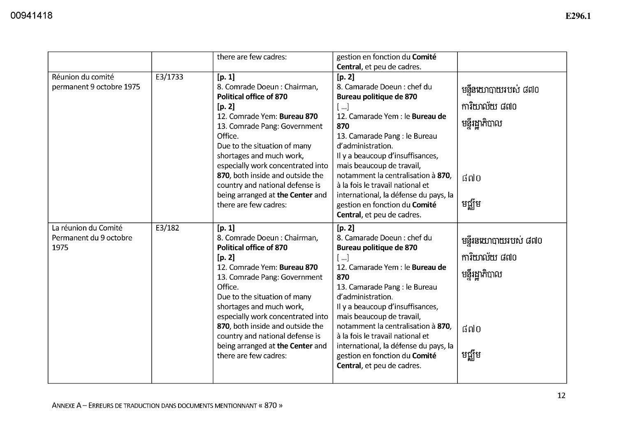|                                                        |         | there are few cadres:                                                                                                                                                                                                                                                                                                                                                                     | gestion en fonction du Comité<br>Central, et peu de cadres.                                                                                                                                                                                                                                                                                                                                                                                            |                                                                           |
|--------------------------------------------------------|---------|-------------------------------------------------------------------------------------------------------------------------------------------------------------------------------------------------------------------------------------------------------------------------------------------------------------------------------------------------------------------------------------------|--------------------------------------------------------------------------------------------------------------------------------------------------------------------------------------------------------------------------------------------------------------------------------------------------------------------------------------------------------------------------------------------------------------------------------------------------------|---------------------------------------------------------------------------|
| Réunion du comité<br>permanent 9 octobre 1975          | E3/1733 | [p. 1]<br>8. Comrade Doeun: Chairman,<br>Political office of 870<br>[p. 2]<br>12. Comrade Yem: Bureau 870<br>13. Comrade Pang: Government<br>Office.<br>Due to the situation of many<br>shortages and much work,<br>especially work concentrated into<br>870, both inside and outside the<br>country and national defense is<br>being arranged at the Center and<br>there are few cadres: | [p. 2]<br>8. Camarade Doeun: chef du<br>Bureau politique de 870<br>[]<br>12. Camarade Yem : le Bureau de<br>870<br>13. Camarade Pang : le Bureau<br>d'administration.<br>Il y a beaucoup d'insuffisances,<br>mais beaucoup de travail,<br>notamment la centralisation à 870,<br>à la fois le travail national et<br>international, la défense du pays, la<br>gestion en fonction du Comité                                                             | មន្ទីនយោបាយរបស់ ៨៧០<br>ការិយាល័យ ៨៧០<br>មន្ទីរដ្ឋាភិបាល<br>៨៧០<br>មណ្តឹម  |
| La réunion du Comité<br>Permanent du 9 octobre<br>1975 | E3/182  | [p. 1]<br>8. Comrade Doeun: Chairman,<br>Political office of 870<br>[p. 2]<br>12. Comrade Yem: Bureau 870<br>13. Comrade Pang: Government<br>Office.<br>Due to the situation of many<br>shortages and much work,<br>especially work concentrated into<br>870, both inside and outside the<br>country and national defense is<br>being arranged at the Center and<br>there are few cadres: | Central, et peu de cadres.<br>[p. 2]<br>8. Camarade Doeun: chef du<br>Bureau politique de 870<br>[]<br>12. Camarade Yem : le Bureau de<br>870<br>13. Camarade Pang : le Bureau<br>d'administration.<br>Il y a beaucoup d'insuffisances,<br>mais beaucoup de travail,<br>notamment la centralisation à 870.<br>à la fois le travail national et<br>international, la défense du pays, la<br>gestion en fonction du Comité<br>Central, et peu de cadres. | មន្ទីរនយោបាយរបស់ ៨៧០<br>ការិយាល័យ ៨៧០<br>មន្ទីរដ្ឋាភិបាល<br>៨៧០<br>មជ្ឈិម |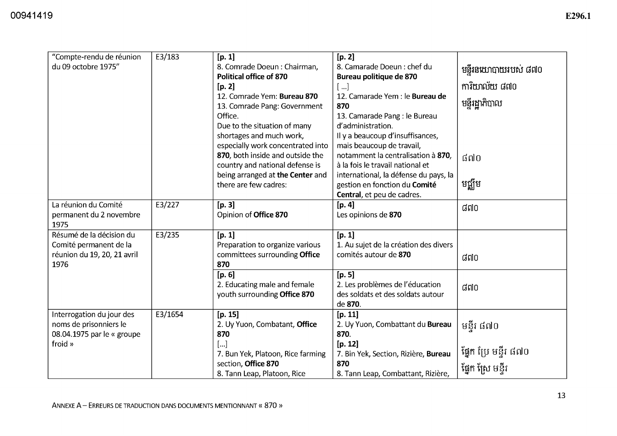| "Compte-rendu de réunion              | E3/183  | [p. 1]                                                    | [p. 2]                                                      |                       |
|---------------------------------------|---------|-----------------------------------------------------------|-------------------------------------------------------------|-----------------------|
| du 09 octobre 1975"                   |         | 8. Comrade Doeun: Chairman,<br>Political office of 870    | 8. Camarade Doeun: chef du                                  | មន្ទីរនយោបាយរបស់ ៨៧០  |
|                                       |         | [p. 2]                                                    | Bureau politique de 870<br>[]                               | ការិយាល័យ ៨៧០         |
|                                       |         | 12. Comrade Yem: Bureau 870                               | 12. Camarade Yem : le Bureau de                             |                       |
|                                       |         | 13. Comrade Pang: Government                              | 870                                                         | មន្ទីរដ្ឋាភិបាល       |
|                                       |         | Office.                                                   | 13. Camarade Pang: le Bureau                                |                       |
|                                       |         | Due to the situation of many                              | d'administration.                                           |                       |
|                                       |         | shortages and much work,                                  | Il y a beaucoup d'insuffisances,                            |                       |
|                                       |         | especially work concentrated into                         | mais beaucoup de travail,                                   |                       |
|                                       |         | 870, both inside and outside the                          | notamment la centralisation à 870,                          | ៨៧០                   |
|                                       |         | country and national defense is                           | à la fois le travail national et                            |                       |
|                                       |         | being arranged at the Center and<br>there are few cadres: | international, la défense du pays, la                       | មណ្ណឹម                |
|                                       |         |                                                           | gestion en fonction du Comité<br>Central, et peu de cadres. |                       |
| La réunion du Comité                  | E3/227  | [p. 3]                                                    | [p. 4]                                                      |                       |
| permanent du 2 novembre               |         | Opinion of Office 870                                     | Les opinions de 870                                         | ៨៧០                   |
| 1975                                  |         |                                                           |                                                             |                       |
| Résumé de la décision du              | E3/235  | [p. 1]                                                    | [p. 1]                                                      |                       |
| Comité permanent de la                |         | Preparation to organize various                           | 1. Au sujet de la création des divers                       |                       |
| réunion du 19, 20, 21 avril           |         | committees surrounding Office                             | comités autour de 870                                       | ៨៧០                   |
| 1976                                  |         | 870                                                       |                                                             |                       |
|                                       |         | [p. 6]                                                    | [p. 5]                                                      |                       |
|                                       |         | 2. Educating male and female                              | 2. Les problèmes de l'éducation                             | ៨៧០                   |
|                                       |         | youth surrounding Office 870                              | des soldats et des soldats autour                           |                       |
|                                       |         |                                                           | de 870.                                                     |                       |
| Interrogation du jour des             | E3/1654 | [p. 15]                                                   | [p. 11]                                                     |                       |
| noms de prisonniers le                |         | 2. Uy Yuon, Combatant, Office                             | 2. Uy Yuon, Combattant du Bureau                            | មន្ទីរ ៨៧០            |
| 08.04.1975 par le « groupe<br>froid » |         | 870                                                       | 870.                                                        |                       |
|                                       |         | []<br>7. Bun Yek, Platoon, Rice farming                   | [p. 12]<br>7. Bin Yek, Section, Rizière, Bureau             | ផ្នែក ប្រែ មន្ទីរ ៨៧០ |
|                                       |         | section, Office 870                                       | 870                                                         |                       |
|                                       |         | 8. Tann Leap, Platoon, Rice                               | 8. Tann Leap, Combattant, Rizière,                          | ផ្នែក ត្រែ មន្ទីរ     |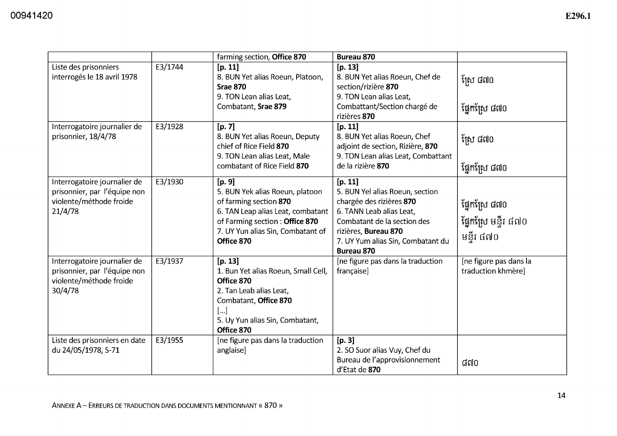|                                                                                                    |         | farming section, Office 870                                                                                                                                                                   | <b>Bureau 870</b>                                                                                                                                                                                                   |                                                     |
|----------------------------------------------------------------------------------------------------|---------|-----------------------------------------------------------------------------------------------------------------------------------------------------------------------------------------------|---------------------------------------------------------------------------------------------------------------------------------------------------------------------------------------------------------------------|-----------------------------------------------------|
| Liste des prisonniers<br>interrogés le 18 avril 1978                                               | E3/1744 | [p. 11]<br>8. BUN Yet alias Roeun, Platoon,<br><b>Srae 870</b>                                                                                                                                | [p. 13]<br>8. BUN Yet alias Roeun, Chef de<br>section/rizière 870                                                                                                                                                   | ត្រៃ ៨៧០                                            |
|                                                                                                    |         | 9. TON Lean alias Leat,<br>Combatant, Srae 879                                                                                                                                                | 9. TON Lean alias Leat,<br>Combattant/Section chargé de<br>rizières 870                                                                                                                                             | ផ្នែកត្រៃ ៨៧០                                       |
| Interrogatoire journalier de<br>prisonnier, 18/4/78                                                | E3/1928 | [p. 7]<br>8. BUN Yet alias Roeun, Deputy<br>chief of Rice Field 870<br>9. TON Lean alias Leat, Male                                                                                           | [p. 11]<br>8. BUN Yet alias Roeun, Chef<br>adjoint de section, Rizière, 870<br>9. TON Lean alias Leat, Combattant                                                                                                   | ត្រៃ ៨៧០                                            |
|                                                                                                    |         | combatant of Rice Field 870                                                                                                                                                                   | de la rizière 870                                                                                                                                                                                                   | ផ្នែកត្រៃ ៨៧០                                       |
| Interrogatoire journalier de<br>prisonnier, par l'équipe non<br>violente/méthode froide<br>21/4/78 | E3/1930 | [p. 9]<br>5. BUN Yek alias Roeun, platoon<br>of farming section 870<br>6. TAN Leap alias Leat, combatant<br>of Farming section: Office 870<br>7. UY Yun alias Sin, Combatant of<br>Office 870 | [p. 11]<br>5. BUN Yel alias Roeun, section<br>chargée des rizières 870<br>6. TANN Leab alias Leat,<br>Combatant de la section des<br>rizières, Bureau 870<br>7. UY Yum alias Sin, Combatant du<br><b>Bureau 870</b> | ផ្នែកត្រៃ ៨៧០<br>ផ្នែកត្រៃ មន្ទីរ ៨៧០<br>មន្ទីរ ៨៧០ |
| Interrogatoire journalier de<br>prisonnier, par l'équipe non<br>violente/méthode froide<br>30/4/78 | E3/1937 | [p. 13]<br>1. Bun Yet alias Roeun, Small Cell,<br>Office 870<br>2. Tan Leab alias Leat,<br>Combatant, Office 870<br>[]<br>5. Uy Yun alias Sin, Combatant,<br>Office 870                       | [ne figure pas dans la traduction<br>française]                                                                                                                                                                     | [ne figure pas dans la<br>traduction khmère]        |
| Liste des prisonniers en date<br>du 24/05/1978, S-71                                               | E3/1955 | [ne figure pas dans la traduction<br>anglaise]                                                                                                                                                | [p.3]<br>2. SO Suor alias Vuy, Chef du<br>Bureau de l'approvisionnement<br>d'Etat de 870                                                                                                                            | ៨៧០                                                 |